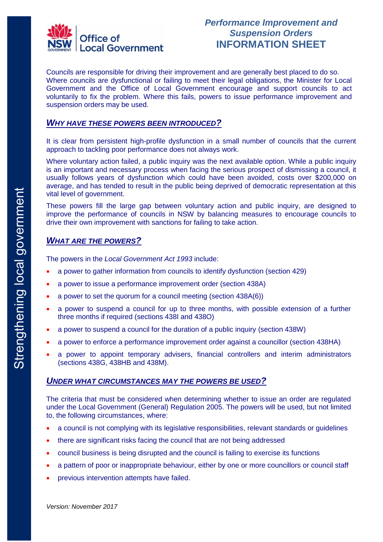

Councils are responsible for driving their improvement and are generally best placed to do so. Where councils are dysfunctional or failing to meet their legal obligations, the Minister for Local Government and the Office of Local Government encourage and support councils to act voluntarily to fix the problem. Where this fails, powers to issue performance improvement and suspension orders may be used.

#### *WHY HAVE THESE POWERS BEEN INTRODUCED?*

It is clear from persistent high-profile dysfunction in a small number of councils that the current approach to tackling poor performance does not always work.

Where voluntary action failed, a public inquiry was the next available option. While a public inquiry is an important and necessary process when facing the serious prospect of dismissing a council, it usually follows years of dysfunction which could have been avoided, costs over \$200,000 on average, and has tended to result in the public being deprived of democratic representation at this vital level of government.

These powers fill the large gap between voluntary action and public inquiry, are designed to improve the performance of councils in NSW by balancing measures to encourage councils to drive their own improvement with sanctions for failing to take action.

### *WHAT ARE THE POWERS?*

The powers in the *Local Government Act 1993* include:

- a power to gather information from councils to identify dysfunction (section 429)
- a power to issue a performance improvement order (section 438A)
- a power to set the quorum for a council meeting (section 438A(6))
- a power to suspend a council for up to three months, with possible extension of a further three months if required (sections 438I and 438O)
- a power to suspend a council for the duration of a public inquiry (section 438W)
- a power to enforce a performance improvement order against a councillor (section 438HA)
- a power to appoint temporary advisers, financial controllers and interim administrators (sections 438G, 438HB and 438M).

#### *UNDER WHAT CIRCUMSTANCES MAY THE POWERS BE USED?*

The criteria that must be considered when determining whether to issue an order are regulated under the Local Government (General) Regulation 2005. The powers will be used, but not limited to, the following circumstances, where:

- a council is not complying with its legislative responsibilities, relevant standards or guidelines
- there are significant risks facing the council that are not being addressed
- council business is being disrupted and the council is failing to exercise its functions
- a pattern of poor or inappropriate behaviour, either by one or more councillors or council staff
- previous intervention attempts have failed.